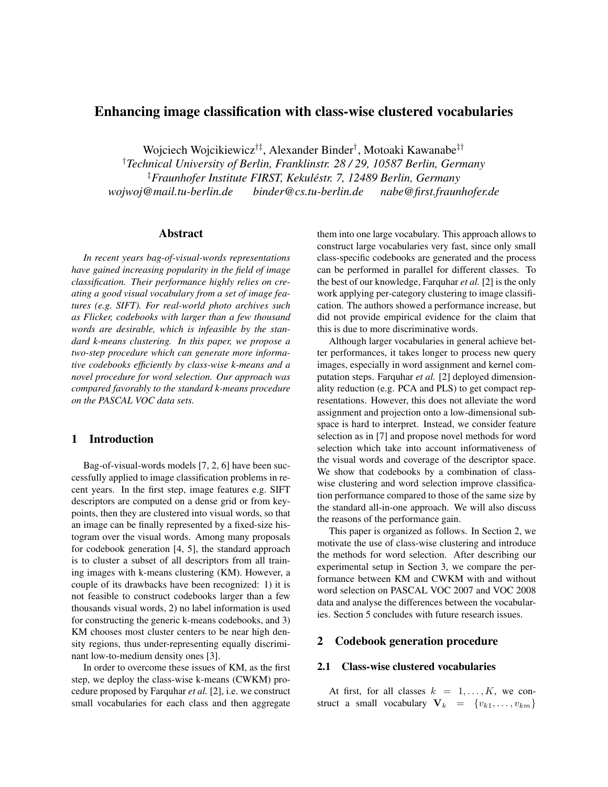# Enhancing image classification with class-wise clustered vocabularies

Wojciech Wojcikiewicz†‡, Alexander Binder† , Motoaki Kawanabe‡†

†*Technical University of Berlin, Franklinstr. 28 / 29, 10587 Berlin, Germany* ‡*Fraunhofer Institute FIRST, Kekulestr. 7, 12489 Berlin, Germany ´ wojwoj@mail.tu-berlin.de binder@cs.tu-berlin.de nabe@first.fraunhofer.de*

### Abstract

*In recent years bag-of-visual-words representations have gained increasing popularity in the field of image classification. Their performance highly relies on creating a good visual vocabulary from a set of image features (e.g. SIFT). For real-world photo archives such as Flicker, codebooks with larger than a few thousand words are desirable, which is infeasible by the standard k-means clustering. In this paper, we propose a two-step procedure which can generate more informative codebooks efficiently by class-wise k-means and a novel procedure for word selection. Our approach was compared favorably to the standard k-means procedure on the PASCAL VOC data sets.*

## 1 Introduction

Bag-of-visual-words models [7, 2, 6] have been successfully applied to image classification problems in recent years. In the first step, image features e.g. SIFT descriptors are computed on a dense grid or from keypoints, then they are clustered into visual words, so that an image can be finally represented by a fixed-size histogram over the visual words. Among many proposals for codebook generation [4, 5], the standard approach is to cluster a subset of all descriptors from all training images with k-means clustering (KM). However, a couple of its drawbacks have been recognized: 1) it is not feasible to construct codebooks larger than a few thousands visual words, 2) no label information is used for constructing the generic k-means codebooks, and 3) KM chooses most cluster centers to be near high density regions, thus under-representing equally discriminant low-to-medium density ones [3].

In order to overcome these issues of KM, as the first step, we deploy the class-wise k-means (CWKM) procedure proposed by Farquhar *et al.* [2], i.e. we construct small vocabularies for each class and then aggregate

them into one large vocabulary. This approach allows to construct large vocabularies very fast, since only small class-specific codebooks are generated and the process can be performed in parallel for different classes. To the best of our knowledge, Farquhar *et al.* [2] is the only work applying per-category clustering to image classification. The authors showed a performance increase, but did not provide empirical evidence for the claim that this is due to more discriminative words.

Although larger vocabularies in general achieve better performances, it takes longer to process new query images, especially in word assignment and kernel computation steps. Farquhar *et al.* [2] deployed dimensionality reduction (e.g. PCA and PLS) to get compact representations. However, this does not alleviate the word assignment and projection onto a low-dimensional subspace is hard to interpret. Instead, we consider feature selection as in [7] and propose novel methods for word selection which take into account informativeness of the visual words and coverage of the descriptor space. We show that codebooks by a combination of classwise clustering and word selection improve classification performance compared to those of the same size by the standard all-in-one approach. We will also discuss the reasons of the performance gain.

This paper is organized as follows. In Section 2, we motivate the use of class-wise clustering and introduce the methods for word selection. After describing our experimental setup in Section 3, we compare the performance between KM and CWKM with and without word selection on PASCAL VOC 2007 and VOC 2008 data and analyse the differences between the vocabularies. Section 5 concludes with future research issues.

## 2 Codebook generation procedure

## 2.1 Class-wise clustered vocabularies

At first, for all classes  $k = 1, \ldots, K$ , we construct a small vocabulary  $V_k = \{v_{k1}, \ldots, v_{km}\}\$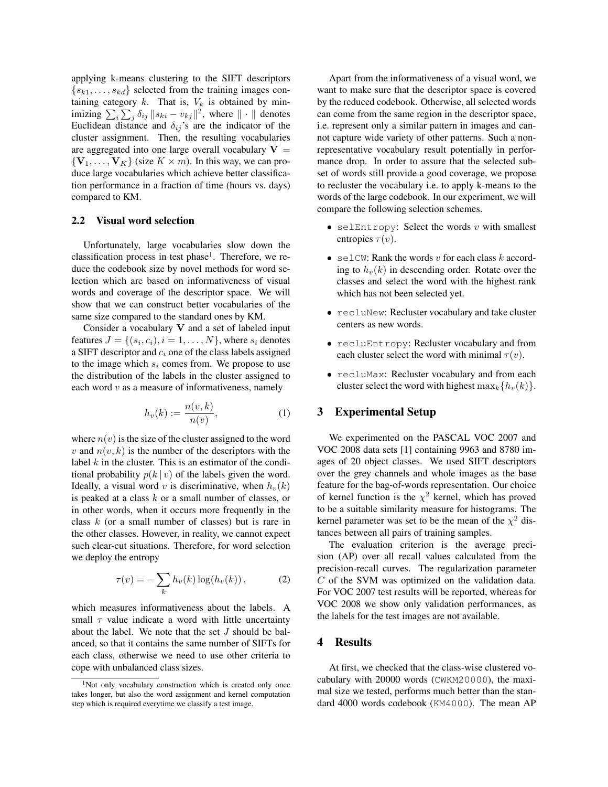applying k-means clustering to the SIFT descriptors  $\{s_{k1}, \ldots, s_{kd}\}\$  selected from the training images containing category  $k$ . That is,  $V_k$  is obtained by minimizing  $\sum_i \sum_j \delta_{ij} ||s_{ki} - v_{kj}||^2$ , where  $|| \cdot ||$  denotes Euclidean distance and  $\delta_{ij}$ 's are the indicator of the cluster assignment. Then, the resulting vocabularies are aggregated into one large overall vocabulary  $V =$  ${V_1, \ldots, V_K}$  (size  $K \times m$ ). In this way, we can produce large vocabularies which achieve better classification performance in a fraction of time (hours vs. days) compared to KM.

#### 2.2 Visual word selection

Unfortunately, large vocabularies slow down the classification process in test phase<sup>1</sup>. Therefore, we reduce the codebook size by novel methods for word selection which are based on informativeness of visual words and coverage of the descriptor space. We will show that we can construct better vocabularies of the same size compared to the standard ones by KM.

Consider a vocabulary  $V$  and a set of labeled input features  $J = \{(s_i, c_i), i = 1, \ldots, N\}$ , where  $s_i$  denotes a SIFT descriptor and  $c_i$  one of the class labels assigned to the image which  $s_i$  comes from. We propose to use the distribution of the labels in the cluster assigned to each word  $v$  as a measure of informativeness, namely

$$
h_v(k) := \frac{n(v,k)}{n(v)},\tag{1}
$$

where  $n(v)$  is the size of the cluster assigned to the word v and  $n(v, k)$  is the number of the descriptors with the label  $k$  in the cluster. This is an estimator of the conditional probability  $p(k | v)$  of the labels given the word. Ideally, a visual word v is discriminative, when  $h_v(k)$ is peaked at a class k or a small number of classes, or in other words, when it occurs more frequently in the class k (or a small number of classes) but is rare in the other classes. However, in reality, we cannot expect such clear-cut situations. Therefore, for word selection we deploy the entropy

$$
\tau(v) = -\sum_{k} h_v(k) \log(h_v(k)), \qquad (2)
$$

which measures informativeness about the labels. A small  $\tau$  value indicate a word with little uncertainty about the label. We note that the set J should be balanced, so that it contains the same number of SIFTs for each class, otherwise we need to use other criteria to cope with unbalanced class sizes.

Apart from the informativeness of a visual word, we want to make sure that the descriptor space is covered by the reduced codebook. Otherwise, all selected words can come from the same region in the descriptor space, i.e. represent only a similar pattern in images and cannot capture wide variety of other patterns. Such a nonrepresentative vocabulary result potentially in performance drop. In order to assure that the selected subset of words still provide a good coverage, we propose to recluster the vocabulary i.e. to apply k-means to the words of the large codebook. In our experiment, we will compare the following selection schemes.

- selEntropy: Select the words  $v$  with smallest entropies  $\tau(v)$ .
- selCW: Rank the words v for each class  $k$  according to  $h<sub>v</sub>(k)$  in descending order. Rotate over the classes and select the word with the highest rank which has not been selected yet.
- recluNew: Recluster vocabulary and take cluster centers as new words.
- recluEntropy: Recluster vocabulary and from each cluster select the word with minimal  $\tau(v)$ .
- recluMax: Recluster vocabulary and from each cluster select the word with highest  $\max_k \{h_v(k)\}.$

## 3 Experimental Setup

We experimented on the PASCAL VOC 2007 and VOC 2008 data sets [1] containing 9963 and 8780 images of 20 object classes. We used SIFT descriptors over the grey channels and whole images as the base feature for the bag-of-words representation. Our choice of kernel function is the  $\chi^2$  kernel, which has proved to be a suitable similarity measure for histograms. The kernel parameter was set to be the mean of the  $\chi^2$  distances between all pairs of training samples.

The evaluation criterion is the average precision (AP) over all recall values calculated from the precision-recall curves. The regularization parameter C of the SVM was optimized on the validation data. For VOC 2007 test results will be reported, whereas for VOC 2008 we show only validation performances, as the labels for the test images are not available.

#### 4 Results

At first, we checked that the class-wise clustered vocabulary with 20000 words (CWKM20000), the maximal size we tested, performs much better than the standard 4000 words codebook (KM4000). The mean AP

<sup>&</sup>lt;sup>1</sup>Not only vocabulary construction which is created only once takes longer, but also the word assignment and kernel computation step which is required everytime we classify a test image.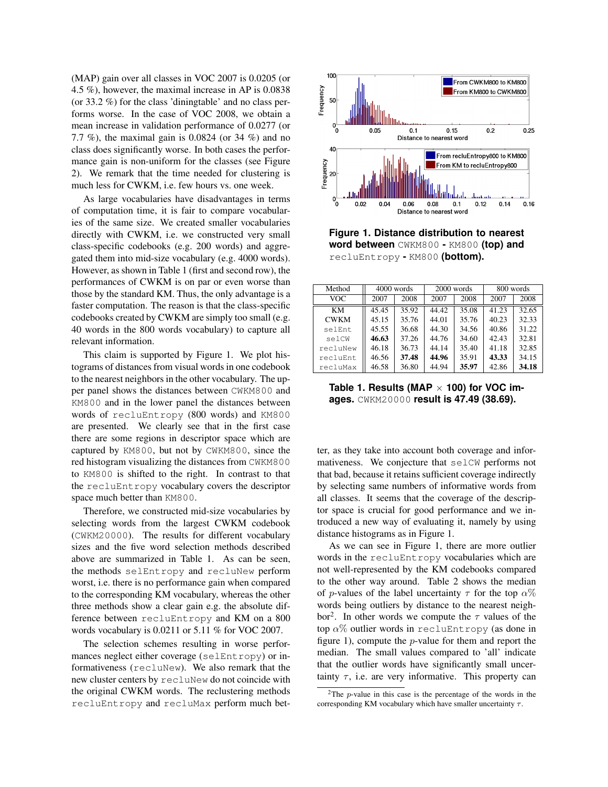(MAP) gain over all classes in VOC 2007 is 0.0205 (or 4.5 %), however, the maximal increase in AP is 0.0838 (or 33.2 %) for the class 'diningtable' and no class performs worse. In the case of VOC 2008, we obtain a mean increase in validation performance of 0.0277 (or 7.7 %), the maximal gain is 0.0824 (or 34 %) and no class does significantly worse. In both cases the performance gain is non-uniform for the classes (see Figure 2). We remark that the time needed for clustering is much less for CWKM, i.e. few hours vs. one week.

As large vocabularies have disadvantages in terms of computation time, it is fair to compare vocabularies of the same size. We created smaller vocabularies directly with CWKM, i.e. we constructed very small class-specific codebooks (e.g. 200 words) and aggregated them into mid-size vocabulary (e.g. 4000 words). However, as shown in Table 1 (first and second row), the performances of CWKM is on par or even worse than those by the standard KM. Thus, the only advantage is a faster computation. The reason is that the class-specific codebooks created by CWKM are simply too small (e.g. 40 words in the 800 words vocabulary) to capture all relevant information.

This claim is supported by Figure 1. We plot histograms of distances from visual words in one codebook to the nearest neighbors in the other vocabulary. The upper panel shows the distances between CWKM800 and KM800 and in the lower panel the distances between words of recluEntropy (800 words) and KM800 are presented. We clearly see that in the first case there are some regions in descriptor space which are captured by KM800, but not by CWKM800, since the red histogram visualizing the distances from CWKM800 to KM800 is shifted to the right. In contrast to that the recluEntropy vocabulary covers the descriptor space much better than KM800.

Therefore, we constructed mid-size vocabularies by selecting words from the largest CWKM codebook (CWKM20000). The results for different vocabulary sizes and the five word selection methods described above are summarized in Table 1. As can be seen, the methods selEntropy and recluNew perform worst, i.e. there is no performance gain when compared to the corresponding KM vocabulary, whereas the other three methods show a clear gain e.g. the absolute difference between recluEntropy and KM on a 800 words vocabulary is 0.0211 or 5.11 % for VOC 2007.

The selection schemes resulting in worse performances neglect either coverage (selEntropy) or informativeness (recluNew). We also remark that the new cluster centers by recluNew do not coincide with the original CWKM words. The reclustering methods recluEntropy and recluMax perform much bet-



**Figure 1. Distance distribution to nearest word between** CWKM800 **-** KM800 **(top) and** recluEntropy **-** KM800 **(bottom).**

| Method      | $4000$ words |       | $2000$ words |       | 800 words |       |
|-------------|--------------|-------|--------------|-------|-----------|-------|
| VOC         | 2007         | 2008  | 2007         | 2008  | 2007      | 2008  |
| KM          | 45.45        | 35.92 | 44.42        | 35.08 | 41.23     | 32.65 |
| <b>CWKM</b> | 45.15        | 35.76 | 44.01        | 35.76 | 40.23     | 32.33 |
| selEnt      | 45.55        | 36.68 | 44.30        | 34.56 | 40.86     | 31.22 |
| selCW       | 46.63        | 37.26 | 44.76        | 34.60 | 42.43     | 32.81 |
| recluNew    | 46.18        | 36.73 | 44.14        | 35.40 | 41.18     | 32.85 |
| recluEnt    | 46.56        | 37.48 | 44.96        | 35.91 | 43.33     | 34.15 |
| recluMax    | 46.58        | 36.80 | 44.94        | 35.97 | 42.86     | 34.18 |

**Table 1. Results (MAP** × **100) for VOC images.** CWKM20000 **result is 47.49 (38.69).**

ter, as they take into account both coverage and informativeness. We conjecture that selCW performs not that bad, because it retains sufficient coverage indirectly by selecting same numbers of informative words from all classes. It seems that the coverage of the descriptor space is crucial for good performance and we introduced a new way of evaluating it, namely by using distance histograms as in Figure 1.

As we can see in Figure 1, there are more outlier words in the recluEntropy vocabularies which are not well-represented by the KM codebooks compared to the other way around. Table 2 shows the median of p-values of the label uncertainty  $\tau$  for the top  $\alpha$ % words being outliers by distance to the nearest neighbor<sup>2</sup>. In other words we compute the  $\tau$  values of the top  $\alpha$ % outlier words in recluEntropy (as done in figure 1), compute the  $p$ -value for them and report the median. The small values compared to 'all' indicate that the outlier words have significantly small uncertainty  $\tau$ , i.e. are very informative. This property can

<sup>&</sup>lt;sup>2</sup>The *p*-value in this case is the percentage of the words in the corresponding KM vocabulary which have smaller uncertainty  $\tau$ .